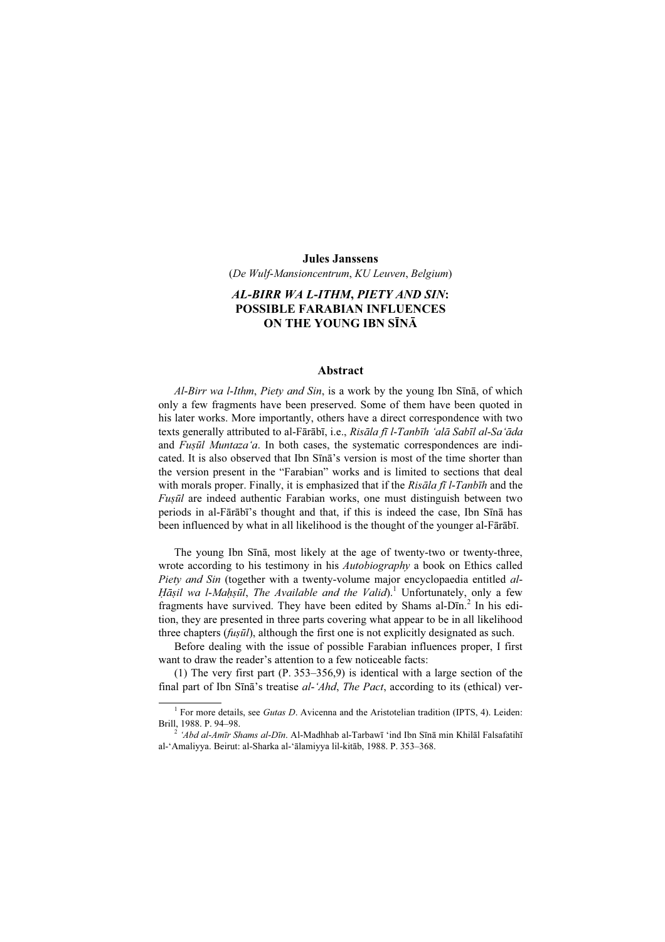## Jules Janssens

(De Wulf-Mansioncentrum, KU Leuven, Belgium)

## AL-BIRR WA L-ITHM, PIETY AND SIN: POSSIBLE FARABIAN INFLUENCES ON THE YOUNG IBN SĪNĀ

## Abstract

Al-Birr wa l-Ithm, Piety and Sin, is a work by the young Ibn Sīnā, of which only a few fragments have been preserved. Some of them have been quoted in his later works. More importantly, others have a direct correspondence with two texts generally attributed to al-Fārābī, i.e., Risāla fī l-Tanbīh 'alā Sabīl al-Sa'āda and *Fusūl Muntaza'a*. In both cases, the systematic correspondences are indicated. It is also observed that Ibn Sīnā's version is most of the time shorter than the version present in the "Farabian" works and is limited to sections that deal with morals proper. Finally, it is emphasized that if the Risala fi l-Tanbīh and the Fusūl are indeed authentic Farabian works, one must distinguish between two periods in al-Fārābī's thought and that, if this is indeed the case, Ibn Sīnā has been influenced by what in all likelihood is the thought of the younger al-Fārābī.

The young Ibn Sīnā, most likely at the age of twenty-two or twenty-three, wrote according to his testimony in his *Autobiography* a book on Ethics called Piety and Sin (together with a twenty-volume major encyclopaedia entitled al-Hāṣil wa l-Maḥṣūl, The Available and the Valid).<sup>1</sup> Unfortunately, only a few fragments have survived. They have been edited by Shams al-Dīn.<sup>2</sup> In his edition, they are presented in three parts covering what appear to be in all likelihood three chapters  $(fus\bar{u}l)$ , although the first one is not explicitly designated as such.

Before dealing with the issue of possible Farabian influences proper, I first want to draw the reader's attention to a few noticeable facts:

(1) The very first part (P. 353–356,9) is identical with a large section of the final part of Ibn Sīnā's treatise al-'Ahd, The Pact, according to its (ethical) ver-

<sup>&</sup>lt;sup>1</sup> For more details, see *Gutas D*. Avicenna and the Aristotelian tradition (IPTS, 4). Leiden: Brill, 1988. P. 94–98.<br><sup>2</sup> 'Abd al-Amīr Shams al-Dīn. Al-Madhhab al-Tarbawī 'ind Ibn Sīnā min Khilāl Falsafatihī

al-'Amaliyya. Beirut: al-Sharka al-'ālamiyya lil-kitāb, 1988. P. 353–368.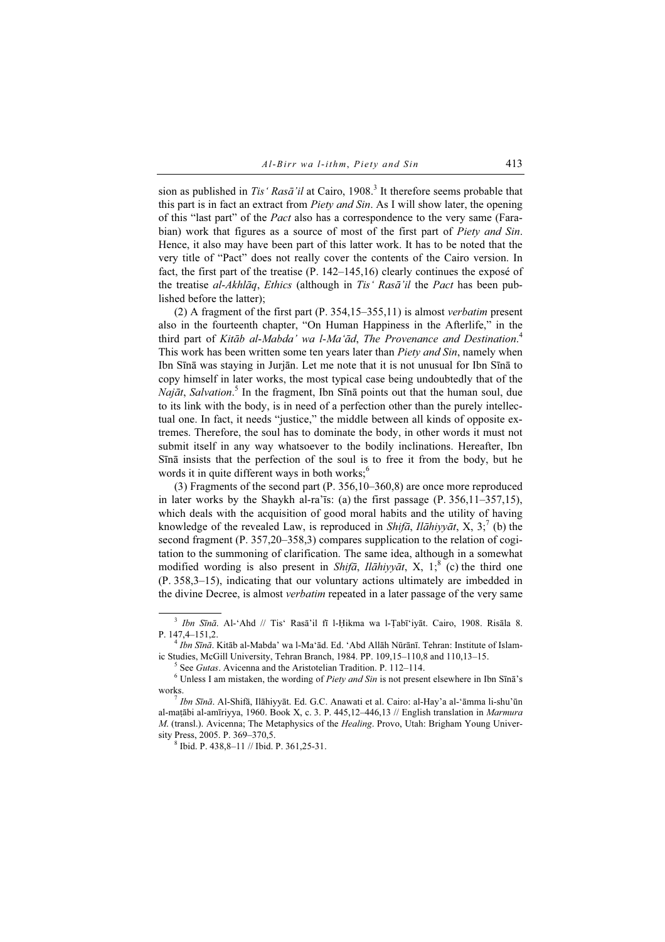sion as published in Tis' Rasa<sup>'</sup>il at Cairo, 1908.<sup>3</sup> It therefore seems probable that this part is in fact an extract from *Piety and Sin*. As I will show later, the opening of this "last part" of the *Pact* also has a correspondence to the very same (Farabian) work that figures as a source of most of the first part of *Piety and Sin*. Hence, it also may have been part of this latter work. It has to be noted that the very title of "Pact" does not really cover the contents of the Cairo version. In fact, the first part of the treatise (P. 142–145,16) clearly continues the exposé of the treatise al-Akhlāq, Ethics (although in Tis' Rasā'il the Pact has been published before the latter);

(2) A fragment of the first part (P. 354,15–355,11) is almost verbatim present also in the fourteenth chapter, "On Human Happiness in the Afterlife," in the third part of Kitāb al-Mabda' wa l-Ma'ād, The Provenance and Destination.<sup>4</sup> This work has been written some ten years later than *Piety and Sin*, namely when Ibn Sīnā was staying in Jurjān. Let me note that it is not unusual for Ibn Sīnā to copy himself in later works, the most typical case being undoubtedly that of the Najāt, Salvation.<sup>5</sup> In the fragment, Ibn Sīnā points out that the human soul, due to its link with the body, is in need of a perfection other than the purely intellectual one. In fact, it needs "justice," the middle between all kinds of opposite extremes. Therefore, the soul has to dominate the body, in other words it must not submit itself in any way whatsoever to the bodily inclinations. Hereafter, Ibn Sīnā insists that the perfection of the soul is to free it from the body, but he words it in quite different ways in both works; $<sup>6</sup>$ </sup>

(3) Fragments of the second part (P. 356,10–360,8) are once more reproduced in later works by the Shaykh al-ra'īs: (a) the first passage  $(P. 356, 11–357, 15)$ , which deals with the acquisition of good moral habits and the utility of having knowledge of the revealed Law, is reproduced in Shifā, Ilāhiyyāt, X, 3;<sup>7</sup> (b) the second fragment (P. 357,20–358,3) compares supplication to the relation of cogitation to the summoning of clarification. The same idea, although in a somewhat modified wording is also present in Shifā, Ilāhiyyāt, X, 1;<sup>8</sup> (c) the third one (P. 358,3–15), indicating that our voluntary actions ultimately are imbedded in the divine Decree, is almost verbatim repeated in a later passage of the very same

 $5$  See *Gutas*. Avicenna and the Aristotelian Tradition. P. 112–114.

 $8$  Ibid. P. 438,8-11 // Ibid. P. 361,25-31.

 $3$  Ibn Sīnā. Al-'Ahd // Tis' Rasā'il fī l-Ḥikma wa l-Ṭabī'iyāt. Cairo, 1908. Risāla 8. P. 147,4–151,2. <sup>4</sup> Ibn Sīnā. Kitāb al-Mabda' wa l-Ma'ād. Ed. 'Abd Allāh Nūrānī. Tehran: Institute of Islam-

ic Studies, McGill University, Tehran Branch, 1984. PP.  $109,15-110,8$  and  $110,13-15$ .

 $6$  Unless I am mistaken, the wording of Piety and Sin is not present elsewhere in Ibn Sīnā's works. <sup>7</sup> Ibn Sīnā. Al-Shifā, Ilāhiyyāt. Ed. G.C. Anawati et al. Cairo: al-Hay'a al-'āmma li-shu'ūn

al-matābi al-amīriyya, 1960. Book X, c. 3. P. 445,12–446,13  $//$  English translation in Marmura M. (transl.). Avicenna; The Metaphysics of the *Healing*. Provo, Utah: Brigham Young University Press, 2005. P. 369–370,5. <sup>8</sup>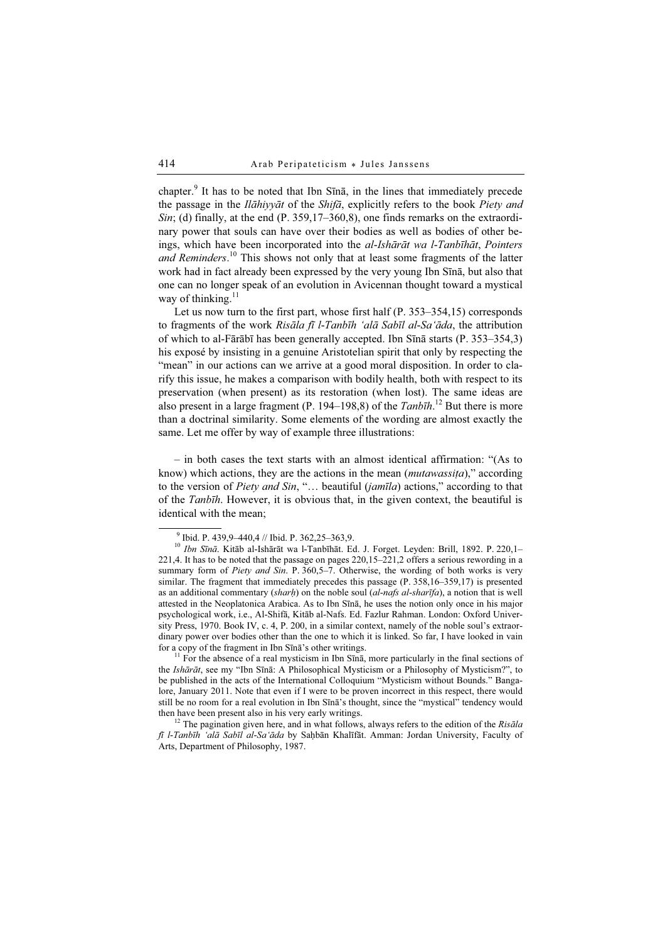chapter.<sup>9</sup> It has to be noted that Ibn Sīnā, in the lines that immediately precede the passage in the *Ilāhiyyāt* of the *Shifā*, explicitly refers to the book *Piety and*  $Sin$ ; (d) finally, at the end (P. 359,17–360,8), one finds remarks on the extraordinary power that souls can have over their bodies as well as bodies of other beings, which have been incorporated into the al-Ishārāt wa l-Tanbīhāt, Pointers and Reminders.<sup>10</sup> This shows not only that at least some fragments of the latter work had in fact already been expressed by the very young Ibn Sīnā, but also that one can no longer speak of an evolution in Avicennan thought toward a mystical way of thinking. $<sup>11</sup>$ </sup>

Let us now turn to the first part, whose first half (P. 353–354,15) corresponds to fragments of the work Risāla fī l-Tanbīh 'alā Sabīl al-Sa'āda, the attribution of which to al-Fārābī has been generally accepted. Ibn Sīnā starts (P. 353–354,3) his exposé by insisting in a genuine Aristotelian spirit that only by respecting the "mean" in our actions can we arrive at a good moral disposition. In order to clarify this issue, he makes a comparison with bodily health, both with respect to its preservation (when present) as its restoration (when lost). The same ideas are also present in a large fragment (P. 194–198,8) of the  $Tanh\bar{h}$ .<sup>12</sup> But there is more than a doctrinal similarity. Some elements of the wording are almost exactly the same. Let me offer by way of example three illustrations:

– in both cases the text starts with an almost identical affirmation: "(As to know) which actions, they are the actions in the mean (*mutawassita*)," according to the version of Piety and Sin, "... beautiful (jamīla) actions," according to that of the Tanbīh. However, it is obvious that, in the given context, the beautiful is identical with the mean;

the Ishārāt, see my "Ibn Sīnā: A Philosophical Mysticism or a Philosophy of Mysticism?", to be published in the acts of the International Colloquium "Mysticism without Bounds." Bangalore, January 2011. Note that even if I were to be proven incorrect in this respect, there would still be no room for a real evolution in Ibn Sīnā's thought, since the "mystical" tendency would then have been present also in his very early writings.<br><sup>12</sup> The pagination given here, and in what follows, always refers to the edition of the *Risāla* 

fī l-Tanbīh 'alā Sabīl al-Sa'āda by Saḥbān Khalīfāt. Amman: Jordan University, Faculty of Arts, Department of Philosophy, 1987.

 $^{9}$  Ibid. P. 439,9–440,4 // Ibid. P. 362,25–363,9.

 $10$  Ibn Sīnā. Kitāb al-Ishārāt wa l-Tanbīhāt. Ed. J. Forget. Leyden: Brill, 1892. P. 220,1– 221,4. It has to be noted that the passage on pages  $220,15-221,2$  offers a serious rewording in a summary form of Piety and Sin. P. 360,5–7. Otherwise, the wording of both works is very similar. The fragment that immediately precedes this passage (P. 358,16–359,17) is presented as an additional commentary (sharh) on the noble soul (al-nafs al-sharifa), a notion that is well attested in the Neoplatonica Arabica. As to Ibn Sīnā, he uses the notion only once in his major psychological work, i.e., Al-Shifā, Kitāb al-Nafs. Ed. Fazlur Rahman. London: Oxford University Press, 1970. Book IV, c. 4, P. 200, in a similar context, namely of the noble soul's extraordinary power over bodies other than the one to which it is linked. So far, I have looked in vain for a copy of the fragment in Ibn Sīnā's other writings. <sup>11</sup> For the absence of a real mysticism in Ibn Sīnā, more particularly in the final sections of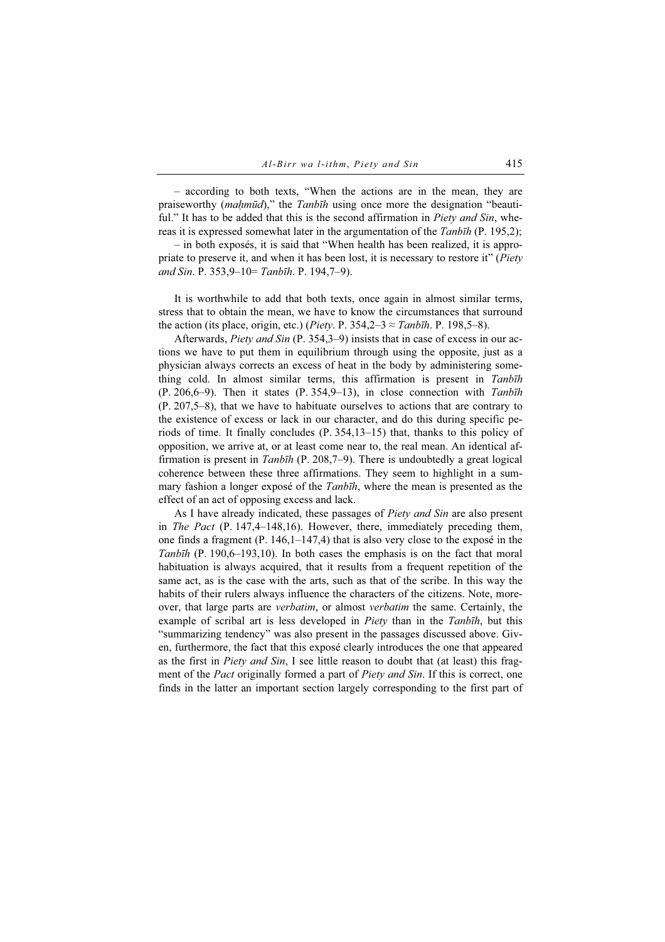– according to both texts, "When the actions are in the mean, they are praiseworthy (*mahmūd*)," the Tanbīh using once more the designation "beautiful." It has to be added that this is the second affirmation in *Piety and Sin*, whereas it is expressed somewhat later in the argumentation of the *Tanbīh* (P. 195,2);

– in both exposés, it is said that "When health has been realized, it is appropriate to preserve it, and when it has been lost, it is necessary to restore it" (Piety and Sin. P. 353,9-10= Tanbīh. P. 194,7-9).

It is worthwhile to add that both texts, once again in almost similar terms, stress that to obtain the mean, we have to know the circumstances that surround the action (its place, origin, etc.) (*Piety*. P. 354,2–3  $\approx$  *Tanbīh*. P. 198,5–8).

Afterwards, Piety and Sin (P. 354,3–9) insists that in case of excess in our actions we have to put them in equilibrium through using the opposite, just as a physician always corrects an excess of heat in the body by administering something cold. In almost similar terms, this affirmation is present in Tanbīh  $(P. 206,6-9)$ . Then it states  $(P. 354,9-13)$ , in close connection with Tanbīh (P. 207,5–8), that we have to habituate ourselves to actions that are contrary to the existence of excess or lack in our character, and do this during specific periods of time. It finally concludes (P. 354,13–15) that, thanks to this policy of opposition, we arrive at, or at least come near to, the real mean. An identical affirmation is present in  $Tanh\bar{h}$  (P. 208,7–9). There is undoubtedly a great logical coherence between these three affirmations. They seem to highlight in a summary fashion a longer expose of the *Tanbīh*, where the mean is presented as the effect of an act of opposing excess and lack.

As I have already indicated, these passages of Piety and Sin are also present in The Pact  $(P. 147, 4–148, 16)$ . However, there, immediately preceding them, one finds a fragment  $(P. 146, 1-147, 4)$  that is also very close to the expose in the Tanbīh (P. 190,6–193,10). In both cases the emphasis is on the fact that moral habituation is always acquired, that it results from a frequent repetition of the same act, as is the case with the arts, such as that of the scribe. In this way the habits of their rulers always influence the characters of the citizens. Note, moreover, that large parts are verbatim, or almost verbatim the same. Certainly, the example of scribal art is less developed in *Piety* than in the Tanbīh, but this "summarizing tendency" was also present in the passages discussed above. Given, furthermore, the fact that this exposé clearly introduces the one that appeared as the first in Piety and Sin, I see little reason to doubt that (at least) this fragment of the *Pact* originally formed a part of *Piety and Sin*. If this is correct, one finds in the latter an important section largely corresponding to the first part of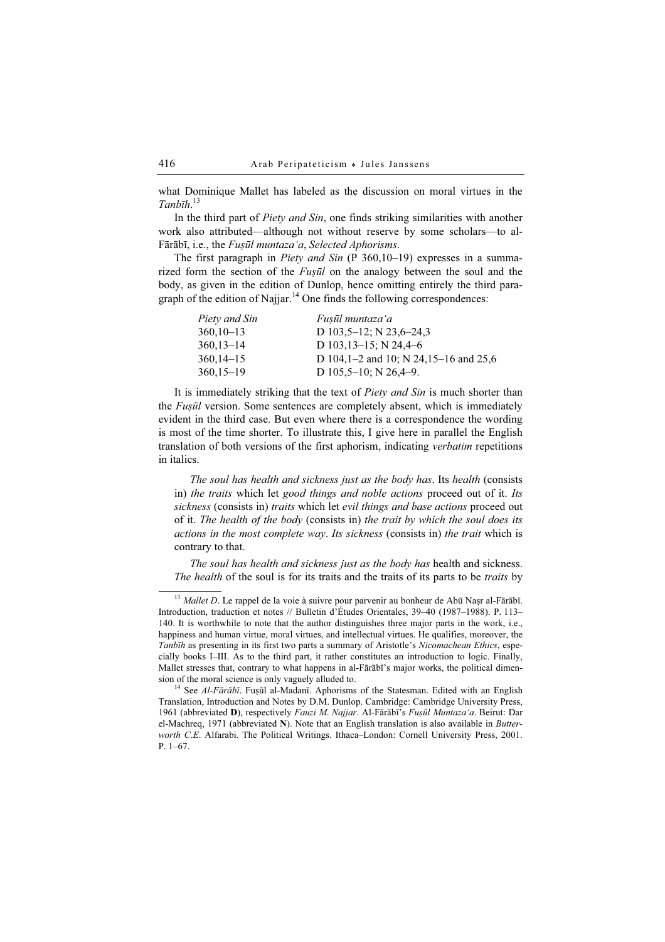what Dominique Mallet has labeled as the discussion on moral virtues in the Tanbīh. 13

In the third part of *Piety and Sin*, one finds striking similarities with another work also attributed—although not without reserve by some scholars—to al-Fārābī, i.e., the Fusūl muntaza'a, Selected Aphorisms.

The first paragraph in Piety and Sin (P 360,10-19) expresses in a summarized form the section of the  $Fus\bar{u}l$  on the analogy between the soul and the body, as given in the edition of Dunlop, hence omitting entirely the third paragraph of the edition of Najjar.<sup>14</sup> One finds the following correspondences:

| Fuṣūl muntaza 'a                      |
|---------------------------------------|
| D $103,5-12$ ; N $23,6-24,3$          |
| D 103, $13-15$ ; N 24, $4-6$          |
| D 104,1-2 and 10; N 24,15-16 and 25,6 |
| D $105,5-10$ ; N $26,4-9$ .           |
|                                       |

It is immediately striking that the text of *Piety and Sin* is much shorter than the *Fusūl* version. Some sentences are completely absent, which is immediately evident in the third case. But even where there is a correspondence the wording is most of the time shorter. To illustrate this, I give here in parallel the English translation of both versions of the first aphorism, indicating verbatim repetitions in italics.

The soul has health and sickness just as the body has. Its health (consists in) the traits which let good things and noble actions proceed out of it. Its sickness (consists in) traits which let evil things and base actions proceed out of it. The health of the body (consists in) the trait by which the soul does its actions in the most complete way. Its sickness (consists in) the trait which is contrary to that.

The soul has health and sickness just as the body has health and sickness. The health of the soul is for its traits and the traits of its parts to be *traits* by

 $13$  Mallet D. Le rappel de la voie à suivre pour parvenir au bonheur de Abū Nașr al-Fārābī. Introduction, traduction et notes // Bulletin d'Études Orientales, 39–40 (1987–1988). P. 113– 140. It is worthwhile to note that the author distinguishes three major parts in the work, i.e., happiness and human virtue, moral virtues, and intellectual virtues. He qualifies, moreover, the Tanbīh as presenting in its first two parts a summary of Aristotle's Nicomachean Ethics, especially books I–III. As to the third part, it rather constitutes an introduction to logic. Finally, Mallet stresses that, contrary to what happens in al-Fārābī's major works, the political dimension of the moral science is only vaguely alluded to.<br><sup>14</sup> See *Al-Fārābī*. Fuṣūl al-Madanī. Aphorisms of the Statesman. Edited with an English

Translation, Introduction and Notes by D.M. Dunlop. Cambridge: Cambridge University Press, 1961 (abbreviated D), respectively Fauzi M. Najjar. Al-Fārābī's Fuṣūl Muntaza'a. Beirut: Dar el-Machreq, 1971 (abbreviated N). Note that an English translation is also available in Butterworth C.E. Alfarabi. The Political Writings. Ithaca–London: Cornell University Press, 2001. P. 1–67.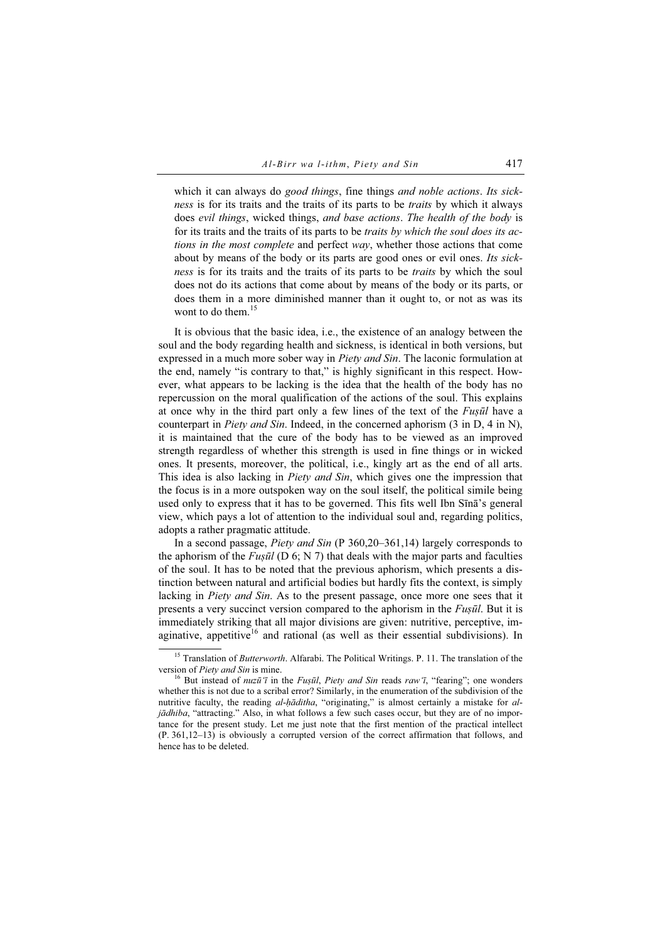which it can always do good things, fine things and noble actions. Its sickness is for its traits and the traits of its parts to be traits by which it always does evil things, wicked things, and base actions. The health of the body is for its traits and the traits of its parts to be traits by which the soul does its actions in the most complete and perfect way, whether those actions that come about by means of the body or its parts are good ones or evil ones. Its sickness is for its traits and the traits of its parts to be traits by which the soul does not do its actions that come about by means of the body or its parts, or does them in a more diminished manner than it ought to, or not as was its wont to do them.<sup>15</sup>

It is obvious that the basic idea, i.e., the existence of an analogy between the soul and the body regarding health and sickness, is identical in both versions, but expressed in a much more sober way in *Piety and Sin*. The laconic formulation at the end, namely "is contrary to that," is highly significant in this respect. However, what appears to be lacking is the idea that the health of the body has no repercussion on the moral qualification of the actions of the soul. This explains at once why in the third part only a few lines of the text of the *Fusul* have a counterpart in *Piety and Sin*. Indeed, in the concerned aphorism (3 in D, 4 in N), it is maintained that the cure of the body has to be viewed as an improved strength regardless of whether this strength is used in fine things or in wicked ones. It presents, moreover, the political, i.e., kingly art as the end of all arts. This idea is also lacking in *Piety and Sin*, which gives one the impression that the focus is in a more outspoken way on the soul itself, the political simile being used only to express that it has to be governed. This fits well Ibn Sīnā's general view, which pays a lot of attention to the individual soul and, regarding politics, adopts a rather pragmatic attitude.

In a second passage, *Piety and Sin* (P 360, 20–361, 14) largely corresponds to the aphorism of the  $Fus\bar{u}l$  (D 6; N 7) that deals with the major parts and faculties of the soul. It has to be noted that the previous aphorism, which presents a distinction between natural and artificial bodies but hardly fits the context, is simply lacking in *Piety and Sin*. As to the present passage, once more one sees that it presents a very succinct version compared to the aphorism in the *Fusūl*. But it is immediately striking that all major divisions are given: nutritive, perceptive, imaginative, appetitive<sup>16</sup> and rational (as well as their essential subdivisions). In

<sup>&</sup>lt;sup>15</sup> Translation of *Butterworth*. Alfarabi. The Political Writings. P. 11. The translation of the version of Piety and Sin is mine.<br><sup>16</sup> But instead of *nuzū*'*ī* in the Fuṣūl, Piety and Sin reads raw'ī, "fearing"; one wonders

whether this is not due to a scribal error? Similarly, in the enumeration of the subdivision of the nutritive faculty, the reading al-hāditha, "originating," is almost certainly a mistake for aljādhiba, "attracting." Also, in what follows a few such cases occur, but they are of no importance for the present study. Let me just note that the first mention of the practical intellect (P. 361,12–13) is obviously a corrupted version of the correct affirmation that follows, and hence has to be deleted.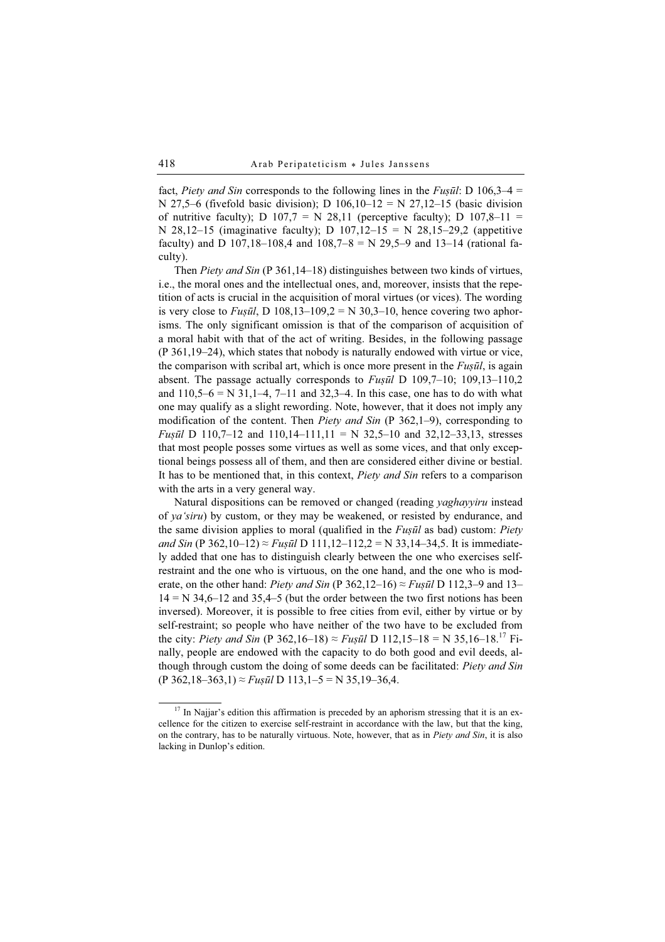fact, Piety and Sin corresponds to the following lines in the Fusul: D 106,3–4 = N 27,5–6 (fivefold basic division); D  $106,10-12 = N 27,12-15$  (basic division of nutritive faculty); D  $107.7 = N$  28,11 (perceptive faculty); D  $107.8-11$  = N 28,12–15 (imaginative faculty); D  $107,12-15 = N 28,15-29,2$  (appetitive faculty) and D 107,18–108,4 and 108,7–8 = N 29,5–9 and 13–14 (rational faculty).

Then *Piety and Sin* (P 361,14–18) distinguishes between two kinds of virtues, i.e., the moral ones and the intellectual ones, and, moreover, insists that the repetition of acts is crucial in the acquisition of moral virtues (or vices). The wording is very close to Fuşūl, D 108,13–109,2 = N 30,3–10, hence covering two aphorisms. The only significant omission is that of the comparison of acquisition of a moral habit with that of the act of writing. Besides, in the following passage (P 361,19–24), which states that nobody is naturally endowed with virtue or vice, the comparison with scribal art, which is once more present in the  $Fus\bar{u}l$ , is again absent. The passage actually corresponds to  $Fus\bar{u}l$  D 109,7–10; 109,13–110,2 and  $110,5-6 = N 31,1-4,7-11$  and  $32,3-4$ . In this case, one has to do with what one may qualify as a slight rewording. Note, however, that it does not imply any modification of the content. Then *Piety and Sin* (P  $362,1-9$ ), corresponding to *Fusūl* D 110,7–12 and 110,14–111,11 = N 32,5–10 and 32,12–33,13, stresses that most people posses some virtues as well as some vices, and that only exceptional beings possess all of them, and then are considered either divine or bestial. It has to be mentioned that, in this context, Piety and Sin refers to a comparison with the arts in a very general way.

Natural dispositions can be removed or changed (reading *yaghayyiru* instead of ya'siru) by custom, or they may be weakened, or resisted by endurance, and the same division applies to moral (qualified in the *Fusul* as bad) custom: *Piety* and Sin (P 362,10–12)  $\approx$  Fuṣūl D 111,12–112,2 = N 33,14–34,5. It is immediately added that one has to distinguish clearly between the one who exercises selfrestraint and the one who is virtuous, on the one hand, and the one who is moderate, on the other hand: Piety and Sin (P 362,12–16)  $\approx$  Fusul D 112,3–9 and 13–  $14 = N$  34,6–12 and 35,4–5 (but the order between the two first notions has been inversed). Moreover, it is possible to free cities from evil, either by virtue or by self-restraint; so people who have neither of the two have to be excluded from the city: *Piety and Sin* (P 362,16–18)  $\approx$  *Fuṣūl* D 112,15–18 = N 35,16–18.<sup>17</sup> Finally, people are endowed with the capacity to do both good and evil deeds, although through custom the doing of some deeds can be facilitated: *Piety and Sin*  $(P 362, 18-363, 1) \approx F u$ ș $\bar{u}l$  D 113, 1-5 = N 35, 19-36, 4.

 $17$  In Najjar's edition this affirmation is preceded by an aphorism stressing that it is an excellence for the citizen to exercise self-restraint in accordance with the law, but that the king, on the contrary, has to be naturally virtuous. Note, however, that as in *Piety and Sin*, it is also lacking in Dunlop's edition.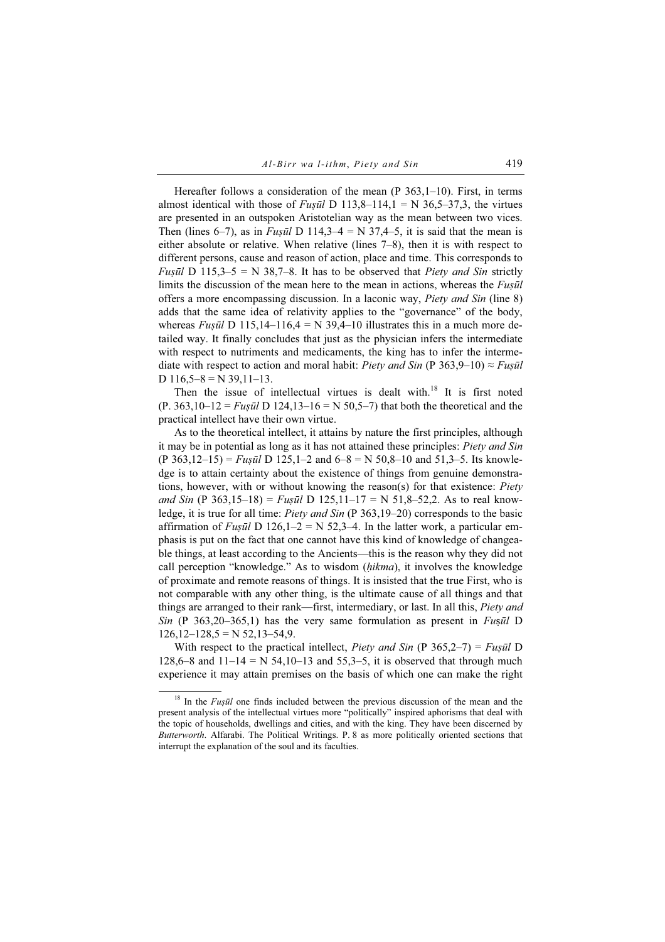Hereafter follows a consideration of the mean (P 363,1-10). First, in terms almost identical with those of *Fusūl* D 113,8–114,1 = N 36,5–37,3, the virtues are presented in an outspoken Aristotelian way as the mean between two vices. Then (lines 6–7), as in Fusūl D 114,3–4 = N 37,4–5, it is said that the mean is either absolute or relative. When relative (lines 7–8), then it is with respect to different persons, cause and reason of action, place and time. This corresponds to *Fusūl* D 115,3–5 = N 38,7–8. It has to be observed that *Piety and Sin* strictly limits the discussion of the mean here to the mean in actions, whereas the  $Fușūl$ offers a more encompassing discussion. In a laconic way, Piety and Sin (line 8) adds that the same idea of relativity applies to the "governance" of the body, whereas Fusūl D 115,14–116,4 = N 39,4–10 illustrates this in a much more detailed way. It finally concludes that just as the physician infers the intermediate with respect to nutriments and medicaments, the king has to infer the intermediate with respect to action and moral habit: Piety and Sin (P 363,9–10)  $\approx$  Fuṣūl D  $116,5-8 = N 39,11-13$ .

Then the issue of intellectual virtues is dealt with.<sup>18</sup> It is first noted  $(P. 363, 10-12 = Fus\bar{u}l \text{ D } 124, 13-16 = \text{N } 50, 5-7$  that both the theoretical and the practical intellect have their own virtue.

As to the theoretical intellect, it attains by nature the first principles, although it may be in potential as long as it has not attained these principles: Piety and Sin  $(P \ 363,12-15) = F \alpha s \bar{u}l \ D \ 125,1-2$  and  $6-8 = N \ 50,8-10$  and  $51,3-5$ . Its knowledge is to attain certainty about the existence of things from genuine demonstrations, however, with or without knowing the reason(s) for that existence: Piety and Sin (P 363,15–18) = Fusūl D 125,11–17 = N 51,8–52,2. As to real knowledge, it is true for all time: *Piety and Sin* (P 363,19–20) corresponds to the basic affirmation of Fusūl D 126,1–2 = N 52,3–4. In the latter work, a particular emphasis is put on the fact that one cannot have this kind of knowledge of changeable things, at least according to the Ancients—this is the reason why they did not call perception "knowledge." As to wisdom (hikma), it involves the knowledge of proximate and remote reasons of things. It is insisted that the true First, who is not comparable with any other thing, is the ultimate cause of all things and that things are arranged to their rank—first, intermediary, or last. In all this, Piety and Sin (P 363,20–365,1) has the very same formulation as present in Fusul D  $126,12-128,5=N$  52,13-54,9.

With respect to the practical intellect, *Piety and Sin* (P 365,2–7) = *Fusul* D 128,6–8 and  $11-14 = N$  54,10–13 and 55,3–5, it is observed that through much experience it may attain premises on the basis of which one can make the right

 $18$  In the *Fuṣūl* one finds included between the previous discussion of the mean and the present analysis of the intellectual virtues more "politically" inspired aphorisms that deal with the topic of households, dwellings and cities, and with the king. They have been discerned by Butterworth. Alfarabi. The Political Writings. P. 8 as more politically oriented sections that interrupt the explanation of the soul and its faculties.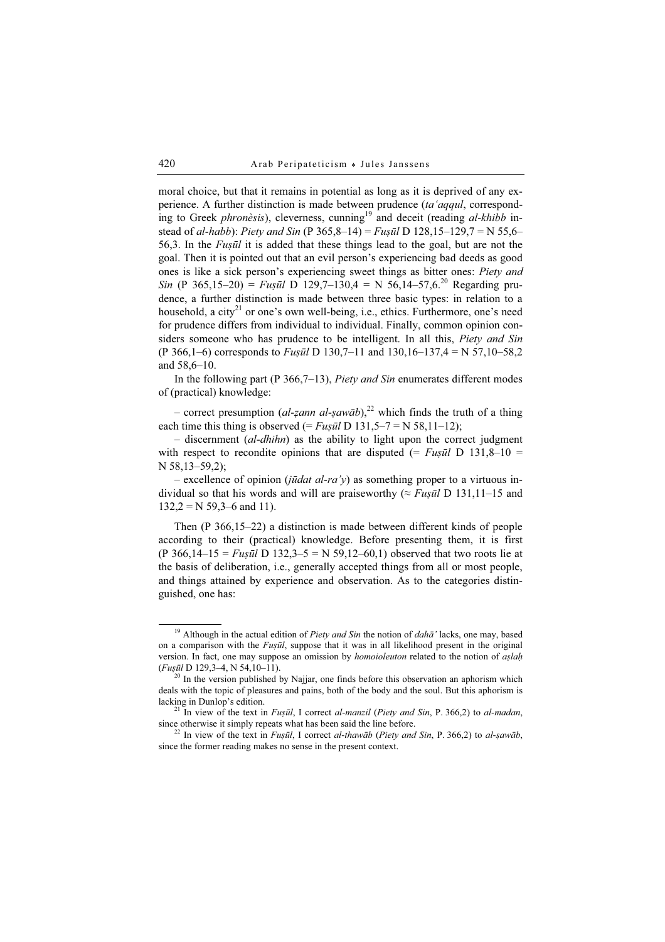moral choice, but that it remains in potential as long as it is deprived of any experience. A further distinction is made between prudence (ta'aqqul, corresponding to Greek *phronèsis*), cleverness, cunning<sup>19</sup> and deceit (reading  $al$ -khibb instead of al-habb): Piety and Sin (P 365,8–14) = Fusūl D 128,15–129,7 = N 55,6– 56,3. In the  $Fus\bar{u}l$  it is added that these things lead to the goal, but are not the goal. Then it is pointed out that an evil person's experiencing bad deeds as good ones is like a sick person's experiencing sweet things as bitter ones: Piety and Sin (P 365,15–20) = Fuṣūl D 129,7–130,4 = N 56,14–57,6.<sup>20</sup> Regarding prudence, a further distinction is made between three basic types: in relation to a household, a city<sup>21</sup> or one's own well-being, i.e., ethics. Furthermore, one's need for prudence differs from individual to individual. Finally, common opinion considers someone who has prudence to be intelligent. In all this, *Piety and Sin* (P 366,1–6) corresponds to *Fuṣūl* D 130,7–11 and 130,16–137,4 = N 57,10–58,2 and 58,6–10.

In the following part (P 366,7–13), *Piety and Sin* enumerates different modes of (practical) knowledge:

– correct presumption (al-zann al-ṣawāb),<sup>22</sup> which finds the truth of a thing each time this thing is observed (=  $Fus\bar{u}l$  D 131,5–7 = N 58,11–12);

 $-$  discernment (al-dhihn) as the ability to light upon the correct judgment with respect to recondite opinions that are disputed (=  $Fus\bar{u}l$  D 131,8–10 = N 58,13–59,2);

– excellence of opinion (*jūdat al-ra'y*) as something proper to a virtuous individual so that his words and will are praiseworthy ( $\approx$  Fusul D 131,11–15 and  $132,2 = N 59,3-6$  and 11).

Then (P 366,15–22) a distinction is made between different kinds of people according to their (practical) knowledge. Before presenting them, it is first (P 366,14–15 = Fusūl D 132,3–5 = N 59,12–60,1) observed that two roots lie at the basis of deliberation, i.e., generally accepted things from all or most people, and things attained by experience and observation. As to the categories distinguished, one has:

<sup>&</sup>lt;sup>19</sup> Although in the actual edition of *Piety and Sin* the notion of *dah* $\bar{a}$ ' lacks, one may, based on a comparison with the Fusūl, suppose that it was in all likelihood present in the original version. In fact, one may suppose an omission by *homoioleuton* related to the notion of aslah (*Fuṣūl* D 129,3–4, N 54,10–11). <sup>20</sup> In the version published by Najjar, one finds before this observation an aphorism which

deals with the topic of pleasures and pains, both of the body and the soul. But this aphorism is lacking in Dunlop's edition.<br><sup>21</sup> In view of the text in *Fuṣūl*, I correct *al-manzil (Piety and Sin*, P. 366,2) to *al-madan*,

since otherwise it simply repeats what has been said the line before.<br><sup>22</sup> In view of the text in *Fusūl*, I correct *al-thawāb* (*Piety and Sin*, P. 366,2) to *al-ṣawāb*,

since the former reading makes no sense in the present context.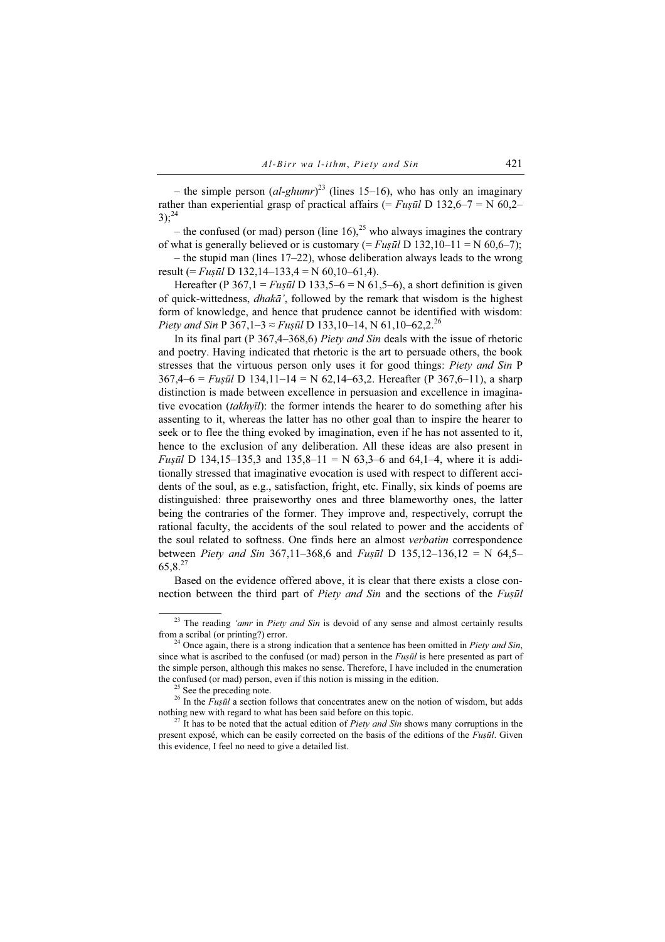– the simple person  $(al\text{-}ghumr)^{23}$  (lines 15–16), who has only an imaginary rather than experiential grasp of practical affairs (= Fusul D 132,6–7 = N 60,2–  $3$ ):  $24$ 

– the confused (or mad) person (line 16),<sup>25</sup> who always imagines the contrary of what is generally believed or is customary (=  $Fus\bar{u}l$  D 132,10–11 = N 60,6–7);

– the stupid man (lines 17–22), whose deliberation always leads to the wrong result (=  $Fus\bar{u}l$  D 132,14–133,4 = N 60,10–61,4).

Hereafter (P 367,1 = Fusūl D 133,5–6 = N 61,5–6), a short definition is given of quick-wittedness, dhakā', followed by the remark that wisdom is the highest form of knowledge, and hence that prudence cannot be identified with wisdom: Piety and Sin P 367,1–3  $\approx$  Fusul D 133,10–14, N 61,10–62,2.<sup>26</sup>

In its final part (P 367,4–368,6) Piety and Sin deals with the issue of rhetoric and poetry. Having indicated that rhetoric is the art to persuade others, the book stresses that the virtuous person only uses it for good things: Piety and Sin P  $367,4–6 = Fus\bar{u}l \ D 134,11–14 = N 62,14–63,2.$  Hereafter (P 367,6–11), a sharp distinction is made between excellence in persuasion and excellence in imaginative evocation  $(takh\nu\bar{\iota}l)$ : the former intends the hearer to do something after his assenting to it, whereas the latter has no other goal than to inspire the hearer to seek or to flee the thing evoked by imagination, even if he has not assented to it, hence to the exclusion of any deliberation. All these ideas are also present in *Fusūl* D 134,15–135,3 and 135,8–11 = N 63,3–6 and 64,1–4, where it is additionally stressed that imaginative evocation is used with respect to different accidents of the soul, as e.g., satisfaction, fright, etc. Finally, six kinds of poems are distinguished: three praiseworthy ones and three blameworthy ones, the latter being the contraries of the former. They improve and, respectively, corrupt the rational faculty, the accidents of the soul related to power and the accidents of the soul related to softness. One finds here an almost verbatim correspondence between *Piety and Sin* 367,11–368,6 and *Fuṣūl* D 135,12–136,12 = N 64,5– 65,8.27

Based on the evidence offered above, it is clear that there exists a close connection between the third part of Piety and Sin and the sections of the Fusul

 $23$  The reading 'amr in Piety and Sin is devoid of any sense and almost certainly results from a scribal (or printing?) error.<br><sup>24</sup> Once again, there is a strong indication that a sentence has been omitted in *Piety and Sin*,

since what is ascribed to the confused (or mad) person in the  $F \iota \iota \tilde{\iota} \tilde{\iota}$  is here presented as part of the simple person, although this makes no sense. Therefore, I have included in the enumeration the confused (or mad) person, even if this notion is missing in the edition. <sup>25</sup> See the preceding note.

<sup>&</sup>lt;sup>26</sup> In the *Fuṣūl* a section follows that concentrates anew on the notion of wisdom, but adds nothing new with regard to what has been said before on this topic.

 $^{27}$  It has to be noted that the actual edition of *Piety and Sin* shows many corruptions in the present exposé, which can be easily corrected on the basis of the editions of the *Fusūl*. Given this evidence, I feel no need to give a detailed list.